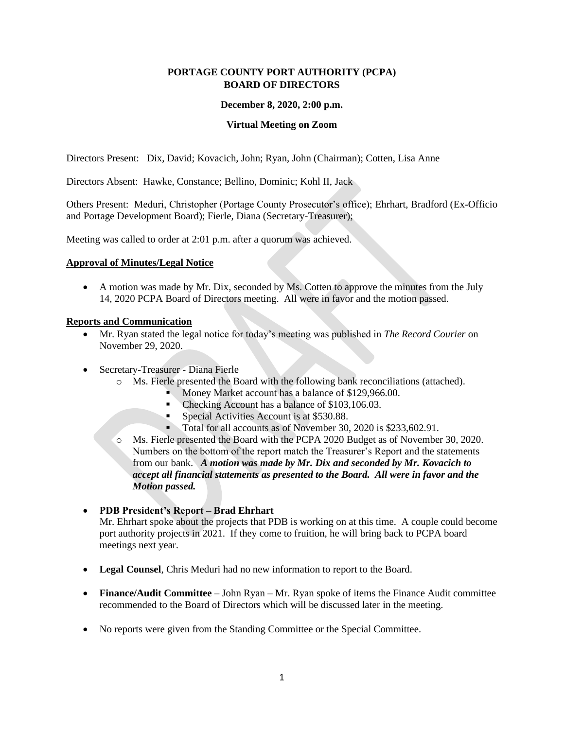### **PORTAGE COUNTY PORT AUTHORITY (PCPA) BOARD OF DIRECTORS**

#### **December 8, 2020, 2:00 p.m.**

#### **Virtual Meeting on Zoom**

Directors Present: Dix, David; Kovacich, John; Ryan, John (Chairman); Cotten, Lisa Anne

Directors Absent: Hawke, Constance; Bellino, Dominic; Kohl II, Jack

Others Present: Meduri, Christopher (Portage County Prosecutor's office); Ehrhart, Bradford (Ex-Officio and Portage Development Board); Fierle, Diana (Secretary-Treasurer);

Meeting was called to order at 2:01 p.m. after a quorum was achieved.

#### **Approval of Minutes/Legal Notice**

• A motion was made by Mr. Dix, seconded by Ms. Cotten to approve the minutes from the July 14, 2020 PCPA Board of Directors meeting. All were in favor and the motion passed.

#### **Reports and Communication**

- Mr. Ryan stated the legal notice for today's meeting was published in *The Record Courier* on November 29, 2020.
- Secretary-Treasurer Diana Fierle
	- o Ms. Fierle presented the Board with the following bank reconciliations (attached).
		- Money Market account has a balance of \$129,966.00.
		- Checking Account has a balance of \$103,106.03.
		- Special Activities Account is at \$530.88.
		- Total for all accounts as of November 30, 2020 is \$233,602.91.
	- o Ms. Fierle presented the Board with the PCPA 2020 Budget as of November 30, 2020. Numbers on the bottom of the report match the Treasurer's Report and the statements from our bank. *A motion was made by Mr. Dix and seconded by Mr. Kovacich to accept all financial statements as presented to the Board. All were in favor and the Motion passed.*

#### • **PDB President's Report – Brad Ehrhart**

Mr. Ehrhart spoke about the projects that PDB is working on at this time. A couple could become port authority projects in 2021. If they come to fruition, he will bring back to PCPA board meetings next year.

- **Legal Counsel**, Chris Meduri had no new information to report to the Board.
- **Finance/Audit Committee** John Ryan Mr. Ryan spoke of items the Finance Audit committee recommended to the Board of Directors which will be discussed later in the meeting.
- No reports were given from the Standing Committee or the Special Committee.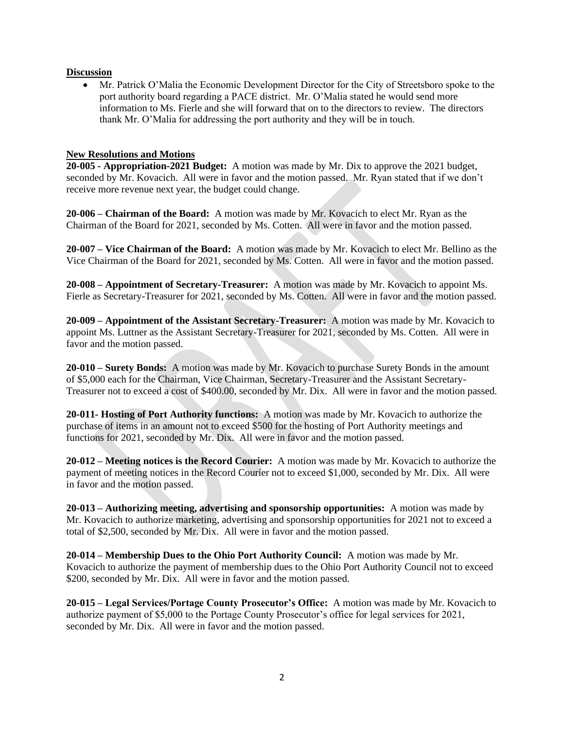#### **Discussion**

• Mr. Patrick O'Malia the Economic Development Director for the City of Streetsboro spoke to the port authority board regarding a PACE district. Mr. O'Malia stated he would send more information to Ms. Fierle and she will forward that on to the directors to review. The directors thank Mr. O'Malia for addressing the port authority and they will be in touch.

#### **New Resolutions and Motions**

**20-005 - Appropriation-2021 Budget:** A motion was made by Mr. Dix to approve the 2021 budget, seconded by Mr. Kovacich. All were in favor and the motion passed. Mr. Ryan stated that if we don't receive more revenue next year, the budget could change.

**20-006 – Chairman of the Board:** A motion was made by Mr. Kovacich to elect Mr. Ryan as the Chairman of the Board for 2021, seconded by Ms. Cotten. All were in favor and the motion passed.

**20-007 – Vice Chairman of the Board:** A motion was made by Mr. Kovacich to elect Mr. Bellino as the Vice Chairman of the Board for 2021, seconded by Ms. Cotten. All were in favor and the motion passed.

**20-008 – Appointment of Secretary-Treasurer:** A motion was made by Mr. Kovacich to appoint Ms. Fierle as Secretary-Treasurer for 2021, seconded by Ms. Cotten. All were in favor and the motion passed.

**20-009 – Appointment of the Assistant Secretary-Treasurer:** A motion was made by Mr. Kovacich to appoint Ms. Luttner as the Assistant Secretary-Treasurer for 2021, seconded by Ms. Cotten. All were in favor and the motion passed.

**20-010 – Surety Bonds:** A motion was made by Mr. Kovacich to purchase Surety Bonds in the amount of \$5,000 each for the Chairman, Vice Chairman, Secretary-Treasurer and the Assistant Secretary-Treasurer not to exceed a cost of \$400.00, seconded by Mr. Dix. All were in favor and the motion passed.

**20-011- Hosting of Port Authority functions:** A motion was made by Mr. Kovacich to authorize the purchase of items in an amount not to exceed \$500 for the hosting of Port Authority meetings and functions for 2021, seconded by Mr. Dix. All were in favor and the motion passed.

**20-012 – Meeting notices is the Record Courier:** A motion was made by Mr. Kovacich to authorize the payment of meeting notices in the Record Courier not to exceed \$1,000, seconded by Mr. Dix. All were in favor and the motion passed.

**20-013 – Authorizing meeting, advertising and sponsorship opportunities:** A motion was made by Mr. Kovacich to authorize marketing, advertising and sponsorship opportunities for 2021 not to exceed a total of \$2,500, seconded by Mr. Dix. All were in favor and the motion passed.

**20-014 – Membership Dues to the Ohio Port Authority Council:** A motion was made by Mr. Kovacich to authorize the payment of membership dues to the Ohio Port Authority Council not to exceed \$200, seconded by Mr. Dix. All were in favor and the motion passed.

**20-015 – Legal Services/Portage County Prosecutor's Office:** A motion was made by Mr. Kovacich to authorize payment of \$5,000 to the Portage County Prosecutor's office for legal services for 2021, seconded by Mr. Dix. All were in favor and the motion passed.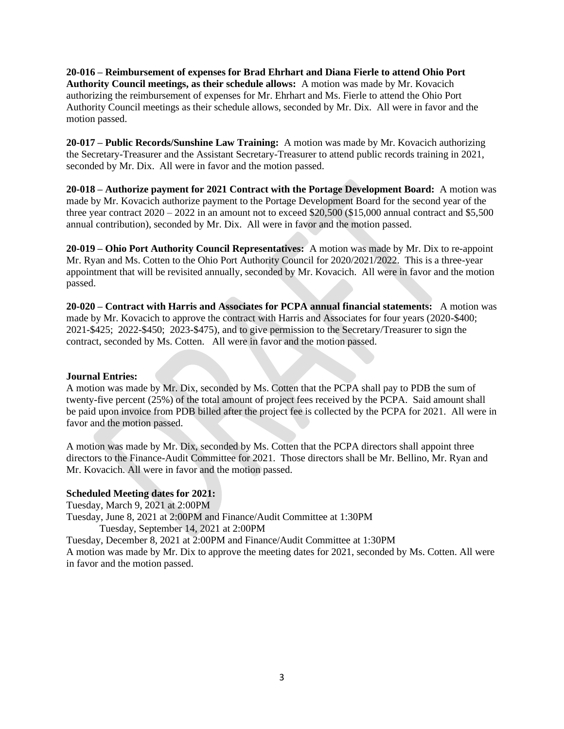**20-016 – Reimbursement of expenses for Brad Ehrhart and Diana Fierle to attend Ohio Port Authority Council meetings, as their schedule allows:** A motion was made by Mr. Kovacich authorizing the reimbursement of expenses for Mr. Ehrhart and Ms. Fierle to attend the Ohio Port Authority Council meetings as their schedule allows, seconded by Mr. Dix. All were in favor and the motion passed.

**20-017 – Public Records/Sunshine Law Training:** A motion was made by Mr. Kovacich authorizing the Secretary-Treasurer and the Assistant Secretary-Treasurer to attend public records training in 2021, seconded by Mr. Dix. All were in favor and the motion passed.

**20-018 – Authorize payment for 2021 Contract with the Portage Development Board:** A motion was made by Mr. Kovacich authorize payment to the Portage Development Board for the second year of the three year contract  $2020 - 2022$  in an amount not to exceed \$20,500 (\$15,000 annual contract and \$5,500 annual contribution), seconded by Mr. Dix. All were in favor and the motion passed.

**20-019 – Ohio Port Authority Council Representatives:** A motion was made by Mr. Dix to re-appoint Mr. Ryan and Ms. Cotten to the Ohio Port Authority Council for 2020/2021/2022. This is a three-year appointment that will be revisited annually, seconded by Mr. Kovacich. All were in favor and the motion passed.

**20-020 – Contract with Harris and Associates for PCPA annual financial statements:** A motion was made by Mr. Kovacich to approve the contract with Harris and Associates for four years (2020-\$400; 2021-\$425; 2022-\$450; 2023-\$475), and to give permission to the Secretary/Treasurer to sign the contract, seconded by Ms. Cotten. All were in favor and the motion passed.

#### **Journal Entries:**

A motion was made by Mr. Dix, seconded by Ms. Cotten that the PCPA shall pay to PDB the sum of twenty-five percent (25%) of the total amount of project fees received by the PCPA. Said amount shall be paid upon invoice from PDB billed after the project fee is collected by the PCPA for 2021. All were in favor and the motion passed.

A motion was made by Mr. Dix, seconded by Ms. Cotten that the PCPA directors shall appoint three directors to the Finance-Audit Committee for 2021. Those directors shall be Mr. Bellino, Mr. Ryan and Mr. Kovacich. All were in favor and the motion passed.

#### **Scheduled Meeting dates for 2021:**

Tuesday, March 9, 2021 at 2:00PM Tuesday, June 8, 2021 at 2:00PM and Finance/Audit Committee at 1:30PM Tuesday, September 14, 2021 at 2:00PM Tuesday, December 8, 2021 at 2:00PM and Finance/Audit Committee at 1:30PM A motion was made by Mr. Dix to approve the meeting dates for 2021, seconded by Ms. Cotten. All were in favor and the motion passed.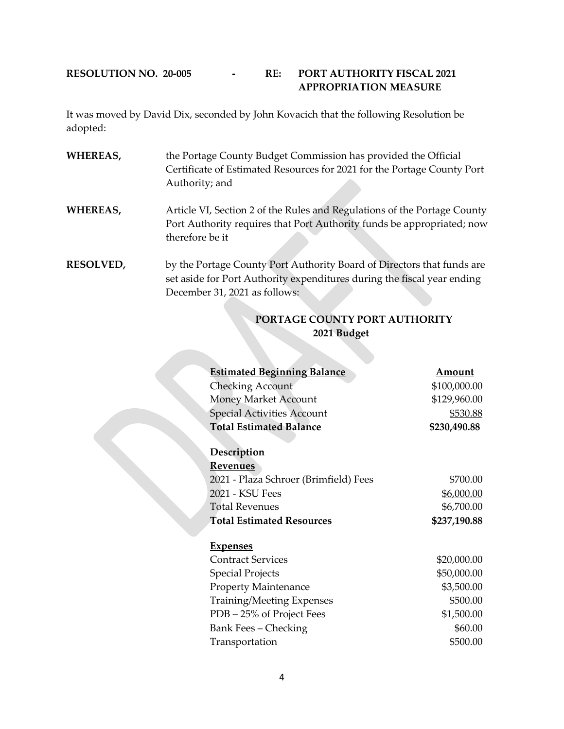### **RESOLUTION NO. 20-005 - RE: PORT AUTHORITY FISCAL 2021 APPROPRIATION MEASURE**

It was moved by David Dix, seconded by John Kovacich that the following Resolution be adopted:

- **WHEREAS,** the Portage County Budget Commission has provided the Official Certificate of Estimated Resources for 2021 for the Portage County Port Authority; and
- **WHEREAS,** Article VI, Section 2 of the Rules and Regulations of the Portage County Port Authority requires that Port Authority funds be appropriated; now therefore be it
- **RESOLVED,** by the Portage County Port Authority Board of Directors that funds are set aside for Port Authority expenditures during the fiscal year ending December 31, 2021 as follows:

## **PORTAGE COUNTY PORT AUTHORITY 2021 Budget**

| <b>Estimated Beginning Balance</b>    | Amount       |
|---------------------------------------|--------------|
| <b>Checking Account</b>               | \$100,000.00 |
| <b>Money Market Account</b>           | \$129,960.00 |
| <b>Special Activities Account</b>     | \$530.88     |
| <b>Total Estimated Balance</b>        | \$230,490.88 |
|                                       |              |
| Description                           |              |
| <b>Revenues</b>                       |              |
| 2021 - Plaza Schroer (Brimfield) Fees | \$700.00     |
| 2021 - KSU Fees                       | \$6,000.00   |
| <b>Total Revenues</b>                 | \$6,700.00   |
| <b>Total Estimated Resources</b>      | \$237,190.88 |
|                                       |              |
| <b>Expenses</b>                       |              |
| <b>Contract Services</b>              | \$20,000.00  |
| <b>Special Projects</b>               | \$50,000.00  |
| <b>Property Maintenance</b>           | \$3,500.00   |
| <b>Training/Meeting Expenses</b>      | \$500.00     |
| PDB - 25% of Project Fees             | \$1,500.00   |
| Bank Fees – Checking                  | \$60.00      |
| Transportation                        | \$500.00     |
|                                       |              |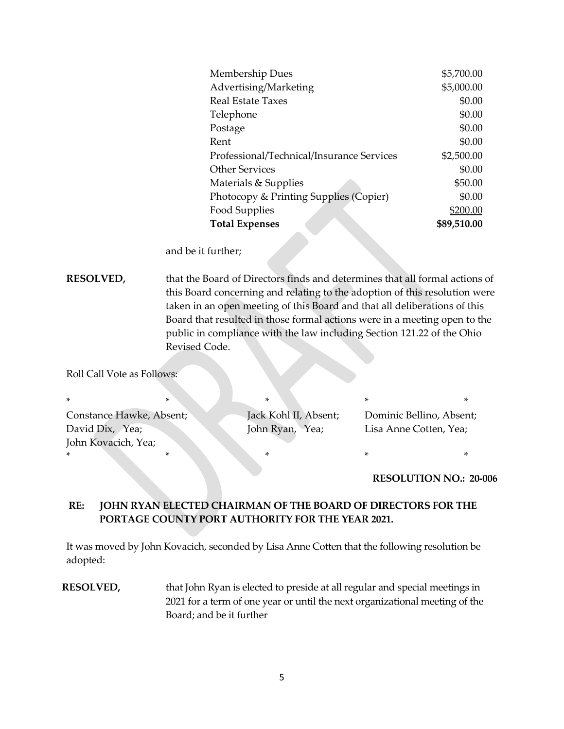| Membership Dues                           | \$5,700.00  |
|-------------------------------------------|-------------|
| Advertising/Marketing                     | \$5,000.00  |
| Real Estate Taxes                         | \$0.00      |
| Telephone                                 | \$0.00      |
| Postage                                   | \$0.00      |
| Rent                                      | \$0.00      |
| Professional/Technical/Insurance Services | \$2,500.00  |
| <b>Other Services</b>                     | \$0.00      |
| Materials & Supplies                      | \$50.00     |
| Photocopy & Printing Supplies (Copier)    | \$0.00      |
| Food Supplies                             | \$200.00    |
| <b>Total Expenses</b>                     | \$89,510.00 |

and be it further;

**RESOLVED,** that the Board of Directors finds and determines that all formal actions of this Board concerning and relating to the adoption of this resolution were taken in an open meeting of this Board and that all deliberations of this Board that resulted in those formal actions were in a meeting open to the public in compliance with the law including Section 121.22 of the Ohio Revised Code.

Roll Call Vote as Follows:

| $\star$                  |  |  |                       |                          |  |  |
|--------------------------|--|--|-----------------------|--------------------------|--|--|
| Constance Hawke, Absent; |  |  | Jack Kohl II, Absent; | Dominic Bellino, Absent; |  |  |
| David Dix, Yea;          |  |  | John Ryan, Yea;       | Lisa Anne Cotten, Yea;   |  |  |
| John Kovacich, Yea;      |  |  |                       |                          |  |  |
|                          |  |  |                       |                          |  |  |

#### **RESOLUTION NO.: 20-006**

## **RE: JOHN RYAN ELECTED CHAIRMAN OF THE BOARD OF DIRECTORS FOR THE PORTAGE COUNTY PORT AUTHORITY FOR THE YEAR 2021.**

It was moved by John Kovacich, seconded by Lisa Anne Cotten that the following resolution be adopted:

**RESOLVED,** that John Ryan is elected to preside at all regular and special meetings in 2021 for a term of one year or until the next organizational meeting of the Board; and be it further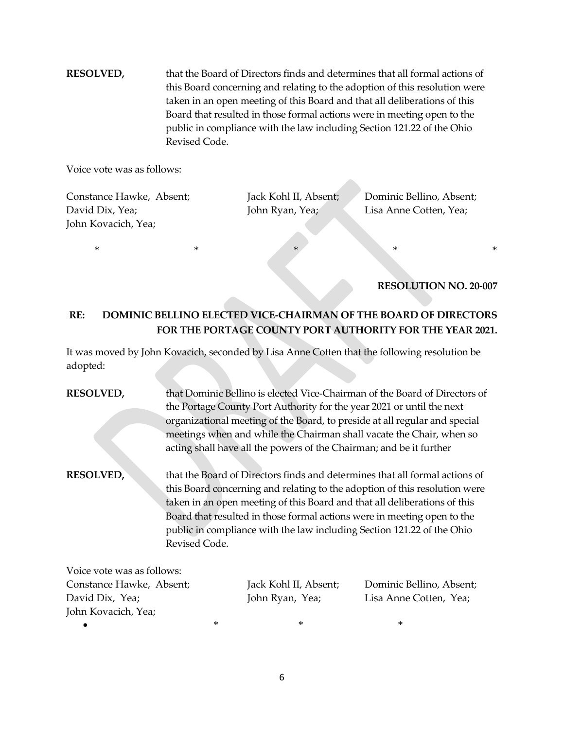**RESOLVED,** that the Board of Directors finds and determines that all formal actions of this Board concerning and relating to the adoption of this resolution were taken in an open meeting of this Board and that all deliberations of this Board that resulted in those formal actions were in meeting open to the public in compliance with the law including Section 121.22 of the Ohio Revised Code.

Voice vote was as follows:

Constance Hawke, Absent; Jack Kohl II, Absent; Dominic Bellino, Absent; David Dix, Yea; John Ryan, Yea; John Ryan, Yea; Lisa Anne Cotten, Yea; John Kovacich, Yea;

 $*$  \* \* \* \* \*

### **RESOLUTION NO. 20-007**

## **RE: DOMINIC BELLINO ELECTED VICE-CHAIRMAN OF THE BOARD OF DIRECTORS FOR THE PORTAGE COUNTY PORT AUTHORITY FOR THE YEAR 2021.**

It was moved by John Kovacich, seconded by Lisa Anne Cotten that the following resolution be adopted:

# **RESOLVED,** that Dominic Bellino is elected Vice-Chairman of the Board of Directors of the Portage County Port Authority for the year 2021 or until the next organizational meeting of the Board, to preside at all regular and special meetings when and while the Chairman shall vacate the Chair, when so acting shall have all the powers of the Chairman; and be it further

**RESOLVED,** that the Board of Directors finds and determines that all formal actions of this Board concerning and relating to the adoption of this resolution were taken in an open meeting of this Board and that all deliberations of this Board that resulted in those formal actions were in meeting open to the public in compliance with the law including Section 121.22 of the Ohio Revised Code.

| Voice vote was as follows: |   |                       |                          |
|----------------------------|---|-----------------------|--------------------------|
| Constance Hawke, Absent;   |   | Jack Kohl II, Absent; | Dominic Bellino, Absent; |
| David Dix, Yea;            |   | John Ryan, Yea;       | Lisa Anne Cotten, Yea;   |
| John Kovacich, Yea;        |   |                       |                          |
|                            | ∗ | ∗                     | ∗                        |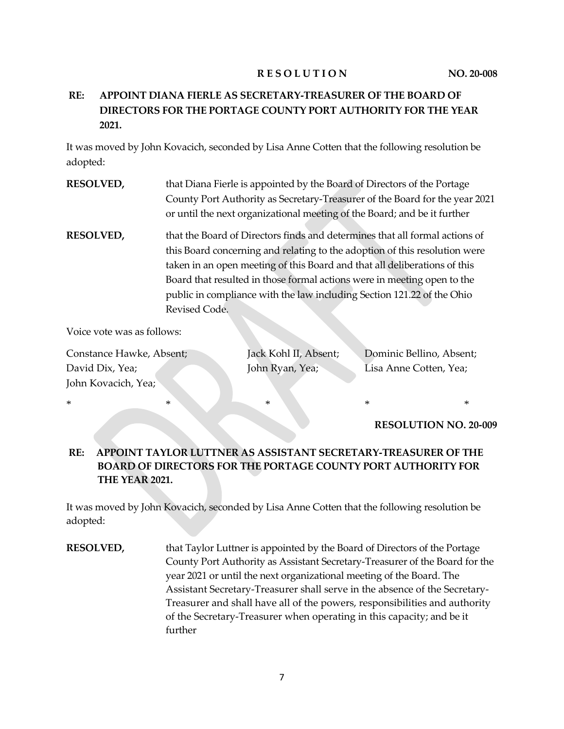### **RESOLUTION** NO. 20-008

# **RE: APPOINT DIANA FIERLE AS SECRETARY-TREASURER OF THE BOARD OF DIRECTORS FOR THE PORTAGE COUNTY PORT AUTHORITY FOR THE YEAR 2021.**

It was moved by John Kovacich, seconded by Lisa Anne Cotten that the following resolution be adopted:

- **RESOLVED,** that Diana Fierle is appointed by the Board of Directors of the Portage County Port Authority as Secretary-Treasurer of the Board for the year 2021 or until the next organizational meeting of the Board; and be it further
- **RESOLVED,** that the Board of Directors finds and determines that all formal actions of this Board concerning and relating to the adoption of this resolution were taken in an open meeting of this Board and that all deliberations of this Board that resulted in those formal actions were in meeting open to the public in compliance with the law including Section 121.22 of the Ohio Revised Code.

Voice vote was as follows:

| Constance Hawke, Absent; |
|--------------------------|
| David Dix, Yea;          |
| John Kovacich, Yea;      |

Jack Kohl II, Absent; Dominic Bellino, Absent; John Ryan, Yea; Lisa Anne Cotten, Yea;

**RESOLUTION NO. 20-009**

## **RE: APPOINT TAYLOR LUTTNER AS ASSISTANT SECRETARY-TREASURER OF THE BOARD OF DIRECTORS FOR THE PORTAGE COUNTY PORT AUTHORITY FOR THE YEAR 2021.**

\* \* \* \* \* \* \* \* \* \*

It was moved by John Kovacich, seconded by Lisa Anne Cotten that the following resolution be adopted:

**RESOLVED,** that Taylor Luttner is appointed by the Board of Directors of the Portage County Port Authority as Assistant Secretary-Treasurer of the Board for the year 2021 or until the next organizational meeting of the Board. The Assistant Secretary-Treasurer shall serve in the absence of the Secretary-Treasurer and shall have all of the powers, responsibilities and authority of the Secretary-Treasurer when operating in this capacity; and be it further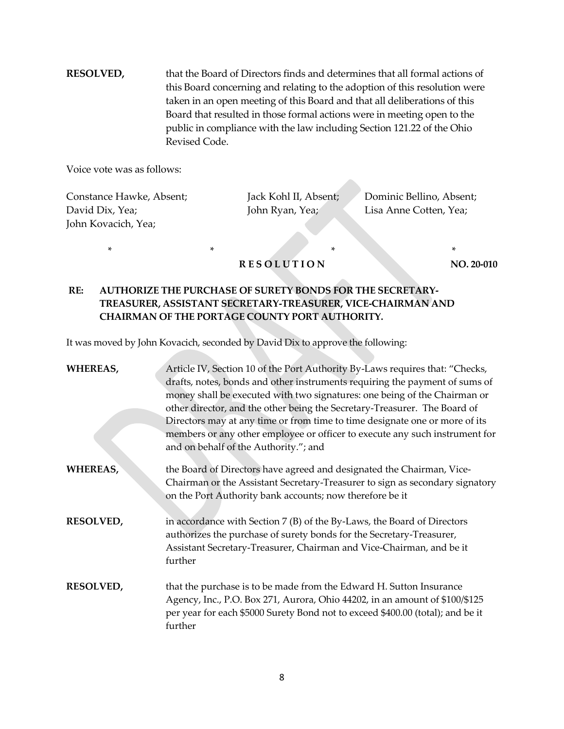**RESOLVED,** that the Board of Directors finds and determines that all formal actions of this Board concerning and relating to the adoption of this resolution were taken in an open meeting of this Board and that all deliberations of this Board that resulted in those formal actions were in meeting open to the public in compliance with the law including Section 121.22 of the Ohio Revised Code.

Voice vote was as follows:

Constance Hawke, Absent; Jack Kohl II, Absent; Dominic Bellino, Absent; David Dix, Yea; John Ryan, Yea; Lisa Anne Cotten, Yea; John Kovacich, Yea;

\* \* \* \* **RESOLUTION** NO. 20-010

## **RE: AUTHORIZE THE PURCHASE OF SURETY BONDS FOR THE SECRETARY-TREASURER, ASSISTANT SECRETARY-TREASURER, VICE-CHAIRMAN AND CHAIRMAN OF THE PORTAGE COUNTY PORT AUTHORITY.**

It was moved by John Kovacich, seconded by David Dix to approve the following:

| <b>WHEREAS,</b>  | Article IV, Section 10 of the Port Authority By-Laws requires that: "Checks,<br>drafts, notes, bonds and other instruments requiring the payment of sums of<br>money shall be executed with two signatures: one being of the Chairman or<br>other director, and the other being the Secretary-Treasurer. The Board of<br>Directors may at any time or from time to time designate one or more of its<br>members or any other employee or officer to execute any such instrument for<br>and on behalf of the Authority."; and |
|------------------|------------------------------------------------------------------------------------------------------------------------------------------------------------------------------------------------------------------------------------------------------------------------------------------------------------------------------------------------------------------------------------------------------------------------------------------------------------------------------------------------------------------------------|
| <b>WHEREAS,</b>  | the Board of Directors have agreed and designated the Chairman, Vice-<br>Chairman or the Assistant Secretary-Treasurer to sign as secondary signatory<br>on the Port Authority bank accounts; now therefore be it                                                                                                                                                                                                                                                                                                            |
| <b>RESOLVED,</b> | in accordance with Section $7(B)$ of the By-Laws, the Board of Directors<br>authorizes the purchase of surety bonds for the Secretary-Treasurer,<br>Assistant Secretary-Treasurer, Chairman and Vice-Chairman, and be it<br>further                                                                                                                                                                                                                                                                                          |
| <b>RESOLVED,</b> | that the purchase is to be made from the Edward H. Sutton Insurance<br>Agency, Inc., P.O. Box 271, Aurora, Ohio 44202, in an amount of \$100/\$125<br>per year for each \$5000 Surety Bond not to exceed \$400.00 (total); and be it<br>further                                                                                                                                                                                                                                                                              |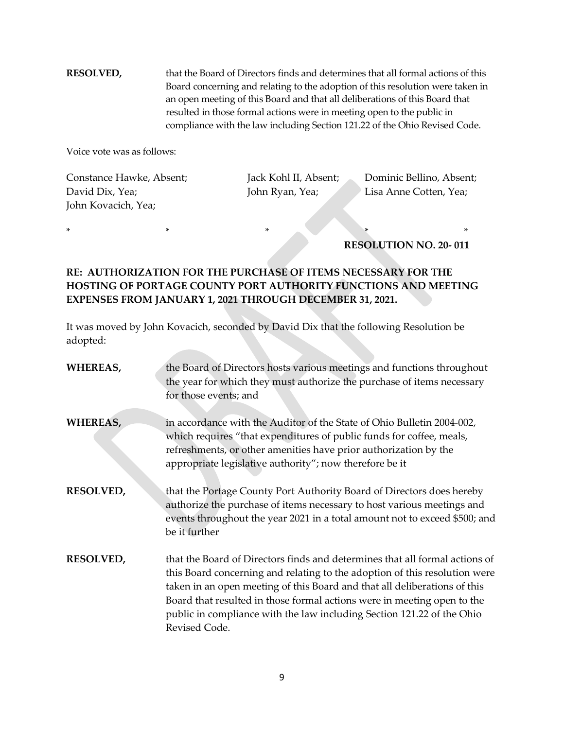**RESOLVED,** that the Board of Directors finds and determines that all formal actions of this Board concerning and relating to the adoption of this resolution were taken in an open meeting of this Board and that all deliberations of this Board that resulted in those formal actions were in meeting open to the public in compliance with the law including Section 121.22 of the Ohio Revised Code.

Voice vote was as follows:

Constance Hawke, Absent; Jack Kohl II, Absent; Dominic Bellino, Absent; David Dix, Yea; John Ryan, Yea; Lisa Anne Cotten, Yea; John Kovacich, Yea;

**RESOLUTION NO. 20- 011**

## **RE: AUTHORIZATION FOR THE PURCHASE OF ITEMS NECESSARY FOR THE HOSTING OF PORTAGE COUNTY PORT AUTHORITY FUNCTIONS AND MEETING EXPENSES FROM JANUARY 1, 2021 THROUGH DECEMBER 31, 2021.**

\* \* \* \* \*

It was moved by John Kovacich, seconded by David Dix that the following Resolution be adopted:

| WHEREAS,         | the Board of Directors hosts various meetings and functions throughout<br>the year for which they must authorize the purchase of items necessary<br>for those events; and                                                                                                                                                                                                                                    |
|------------------|--------------------------------------------------------------------------------------------------------------------------------------------------------------------------------------------------------------------------------------------------------------------------------------------------------------------------------------------------------------------------------------------------------------|
| <b>WHEREAS,</b>  | in accordance with the Auditor of the State of Ohio Bulletin 2004-002,<br>which requires "that expenditures of public funds for coffee, meals,<br>refreshments, or other amenities have prior authorization by the<br>appropriate legislative authority"; now therefore be it                                                                                                                                |
| <b>RESOLVED,</b> | that the Portage County Port Authority Board of Directors does hereby<br>authorize the purchase of items necessary to host various meetings and<br>events throughout the year 2021 in a total amount not to exceed \$500; and<br>be it further                                                                                                                                                               |
| <b>RESOLVED,</b> | that the Board of Directors finds and determines that all formal actions of<br>this Board concerning and relating to the adoption of this resolution were<br>taken in an open meeting of this Board and that all deliberations of this<br>Board that resulted in those formal actions were in meeting open to the<br>public in compliance with the law including Section 121.22 of the Ohio<br>Revised Code. |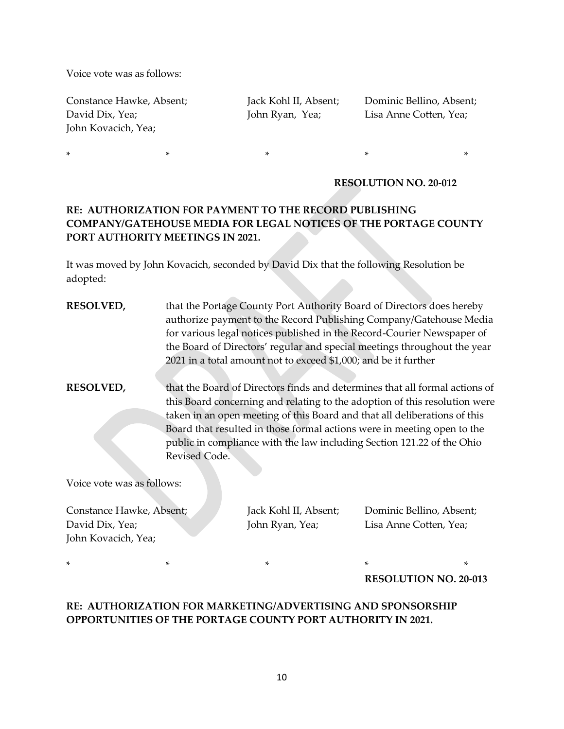Voice vote was as follows:

Constance Hawke, Absent; Jack Kohl II, Absent; Dominic Bellino, Absent; David Dix, Yea; John Ryan, Yea; Lisa Anne Cotten, Yea; John Kovacich, Yea;

### **RESOLUTION NO. 20-012**

## **RE: AUTHORIZATION FOR PAYMENT TO THE RECORD PUBLISHING COMPANY/GATEHOUSE MEDIA FOR LEGAL NOTICES OF THE PORTAGE COUNTY PORT AUTHORITY MEETINGS IN 2021.**

\* \* \* \* \*

It was moved by John Kovacich, seconded by David Dix that the following Resolution be adopted:

| <b>RESOLVED,</b>           |                                                                                                                                                                                                                                                                                                                                                                                                              | 2021 in a total amount not to exceed \$1,000; and be it further | that the Portage County Port Authority Board of Directors does hereby<br>authorize payment to the Record Publishing Company/Gatehouse Media<br>for various legal notices published in the Record-Courier Newspaper of<br>the Board of Directors' regular and special meetings throughout the year |
|----------------------------|--------------------------------------------------------------------------------------------------------------------------------------------------------------------------------------------------------------------------------------------------------------------------------------------------------------------------------------------------------------------------------------------------------------|-----------------------------------------------------------------|---------------------------------------------------------------------------------------------------------------------------------------------------------------------------------------------------------------------------------------------------------------------------------------------------|
| <b>RESOLVED,</b>           | that the Board of Directors finds and determines that all formal actions of<br>this Board concerning and relating to the adoption of this resolution were<br>taken in an open meeting of this Board and that all deliberations of this<br>Board that resulted in those formal actions were in meeting open to the<br>public in compliance with the law including Section 121.22 of the Ohio<br>Revised Code. |                                                                 |                                                                                                                                                                                                                                                                                                   |
| Voice vote was as follows: |                                                                                                                                                                                                                                                                                                                                                                                                              |                                                                 |                                                                                                                                                                                                                                                                                                   |
| Constance Hawke, Absent;   |                                                                                                                                                                                                                                                                                                                                                                                                              | Jack Kohl II, Absent;                                           | Dominic Bellino, Absent;                                                                                                                                                                                                                                                                          |

David Dix, Yea; John Ryan, Yea; Lisa Anne Cotten, Yea; John Kovacich, Yea;

\* \* \* \* \* **RESOLUTION NO. 20-013**

## **RE: AUTHORIZATION FOR MARKETING/ADVERTISING AND SPONSORSHIP OPPORTUNITIES OF THE PORTAGE COUNTY PORT AUTHORITY IN 2021.**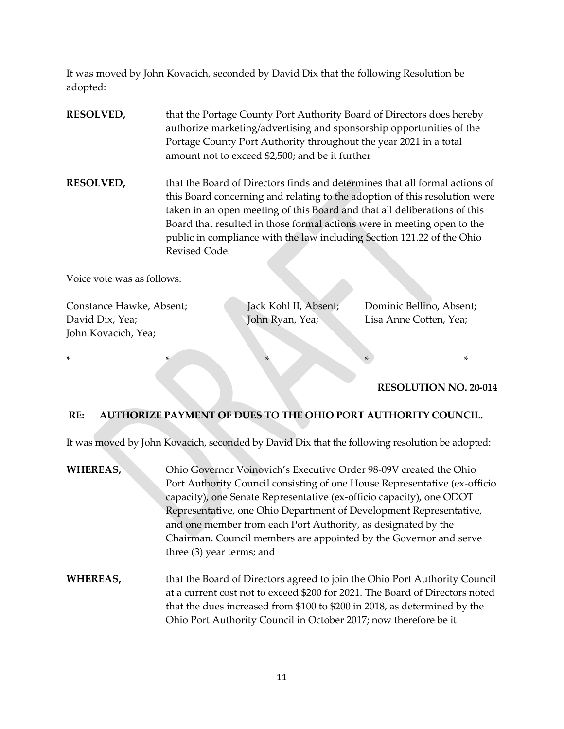It was moved by John Kovacich, seconded by David Dix that the following Resolution be adopted:

**RESOLVED,** that the Portage County Port Authority Board of Directors does hereby authorize marketing/advertising and sponsorship opportunities of the Portage County Port Authority throughout the year 2021 in a total amount not to exceed \$2,500; and be it further

**RESOLVED,** that the Board of Directors finds and determines that all formal actions of this Board concerning and relating to the adoption of this resolution were taken in an open meeting of this Board and that all deliberations of this Board that resulted in those formal actions were in meeting open to the public in compliance with the law including Section 121.22 of the Ohio Revised Code.

Voice vote was as follows:

Constance Hawke, Absent; Jack Kohl II, Absent; Dominic Bellino, Absent; David Dix, Yea; John Ryan, Yea; John Ryan, Yea; Lisa Anne Cotten, Yea; John Kovacich, Yea;

**RESOLUTION NO. 20-014**

### **RE: AUTHORIZE PAYMENT OF DUES TO THE OHIO PORT AUTHORITY COUNCIL.**

\* \* \* \* \* \* \*

It was moved by John Kovacich, seconded by David Dix that the following resolution be adopted:

- **WHEREAS,** Ohio Governor Voinovich's Executive Order 98-09V created the Ohio Port Authority Council consisting of one House Representative (ex-officio capacity), one Senate Representative (ex-officio capacity), one ODOT Representative, one Ohio Department of Development Representative, and one member from each Port Authority, as designated by the Chairman. Council members are appointed by the Governor and serve three (3) year terms; and
- **WHEREAS,** that the Board of Directors agreed to join the Ohio Port Authority Council at a current cost not to exceed \$200 for 2021. The Board of Directors noted that the dues increased from \$100 to \$200 in 2018, as determined by the Ohio Port Authority Council in October 2017; now therefore be it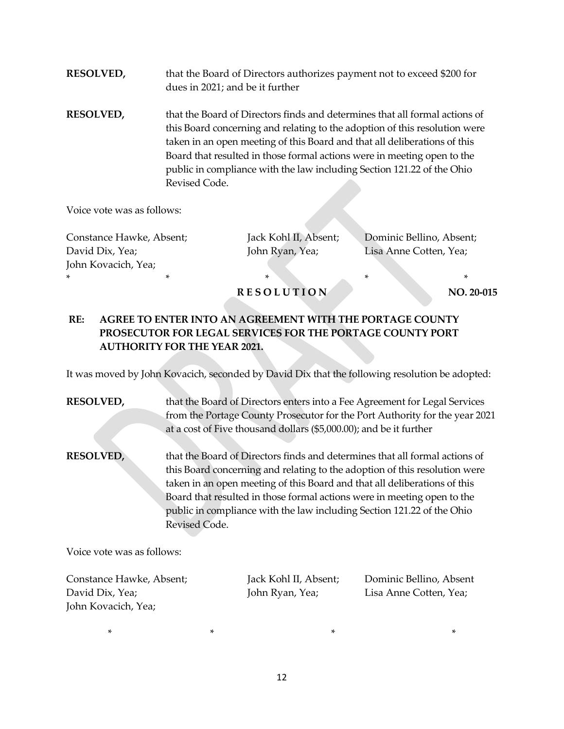- **RESOLVED,** that the Board of Directors authorizes payment not to exceed \$200 for dues in 2021; and be it further
- **RESOLVED,** that the Board of Directors finds and determines that all formal actions of this Board concerning and relating to the adoption of this resolution were taken in an open meeting of this Board and that all deliberations of this Board that resulted in those formal actions were in meeting open to the public in compliance with the law including Section 121.22 of the Ohio Revised Code.

Voice vote was as follows:

Constance Hawke, Absent; Jack Kohl II, Absent; Dominic Bellino, Absent; David Dix, Yea; The Solid Displace of Lisa Anne Cotten, Yea; John Ryan, Yea; Lisa Anne Cotten, Yea; John Kovacich, Yea; \* \* \* \* \*

### **RESOLUTION** NO. 20-015

## **RE: AGREE TO ENTER INTO AN AGREEMENT WITH THE PORTAGE COUNTY PROSECUTOR FOR LEGAL SERVICES FOR THE PORTAGE COUNTY PORT AUTHORITY FOR THE YEAR 2021.**

It was moved by John Kovacich, seconded by David Dix that the following resolution be adopted:

## **RESOLVED,** that the Board of Directors enters into a Fee Agreement for Legal Services from the Portage County Prosecutor for the Port Authority for the year 2021 at a cost of Five thousand dollars (\$5,000.00); and be it further

**RESOLVED,** that the Board of Directors finds and determines that all formal actions of this Board concerning and relating to the adoption of this resolution were taken in an open meeting of this Board and that all deliberations of this Board that resulted in those formal actions were in meeting open to the public in compliance with the law including Section 121.22 of the Ohio Revised Code.

Voice vote was as follows:

Constance Hawke, Absent; Jack Kohl II, Absent; Dominic Bellino, Absent David Dix, Yea; John Ryan, Yea; Lisa Anne Cotten, Yea; John Kovacich, Yea;

 $\star$  \*  $\star$  \*  $\star$  \*  $\star$  \*  $\star$  \*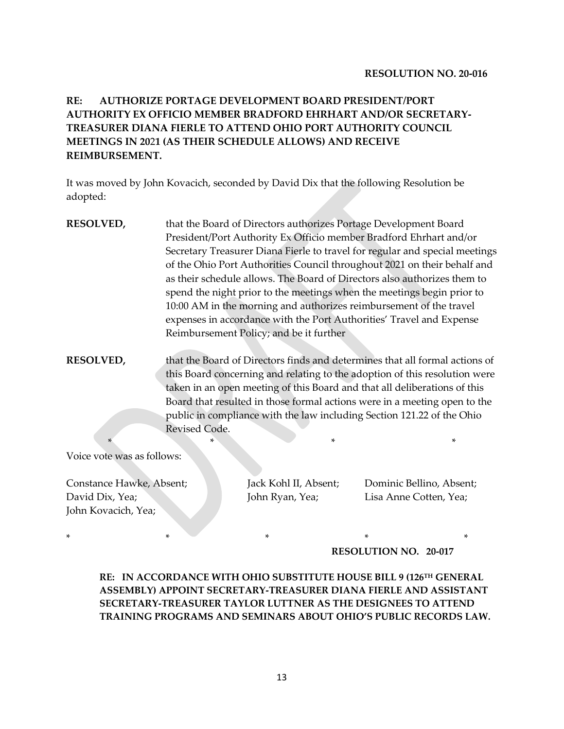## **RE: AUTHORIZE PORTAGE DEVELOPMENT BOARD PRESIDENT/PORT AUTHORITY EX OFFICIO MEMBER BRADFORD EHRHART AND/OR SECRETARY-TREASURER DIANA FIERLE TO ATTEND OHIO PORT AUTHORITY COUNCIL MEETINGS IN 20**2**1 (AS THEIR SCHEDULE ALLOWS) AND RECEIVE REIMBURSEMENT.**

It was moved by John Kovacich, seconded by David Dix that the following Resolution be adopted:

- **RESOLVED,** that the Board of Directors authorizes Portage Development Board President/Port Authority Ex Officio member Bradford Ehrhart and/or Secretary Treasurer Diana Fierle to travel for regular and special meetings of the Ohio Port Authorities Council throughout 2021 on their behalf and as their schedule allows. The Board of Directors also authorizes them to spend the night prior to the meetings when the meetings begin prior to 10:00 AM in the morning and authorizes reimbursement of the travel expenses in accordance with the Port Authorities' Travel and Expense Reimbursement Policy; and be it further
- **RESOLVED,** that the Board of Directors finds and determines that all formal actions of this Board concerning and relating to the adoption of this resolution were taken in an open meeting of this Board and that all deliberations of this Board that resulted in those formal actions were in a meeting open to the public in compliance with the law including Section 121.22 of the Ohio Revised Code.

\* \* \* \*

Voice vote was as follows:

Constance Hawke, Absent; Jack Kohl II, Absent; Dominic Bellino, Absent; David Dix, Yea; John Ryan, Yea; Lisa Anne Cotten, Yea; John Kovacich, Yea;

\* \* \* \* \* **RESOLUTION NO. 20-017**

**RE: IN ACCORDANCE WITH OHIO SUBSTITUTE HOUSE BILL 9 (126TH GENERAL ASSEMBLY) APPOINT SECRETARY-TREASURER DIANA FIERLE AND ASSISTANT SECRETARY-TREASURER TAYLOR LUTTNER AS THE DESIGNEES TO ATTEND TRAINING PROGRAMS AND SEMINARS ABOUT OHIO'S PUBLIC RECORDS LAW.**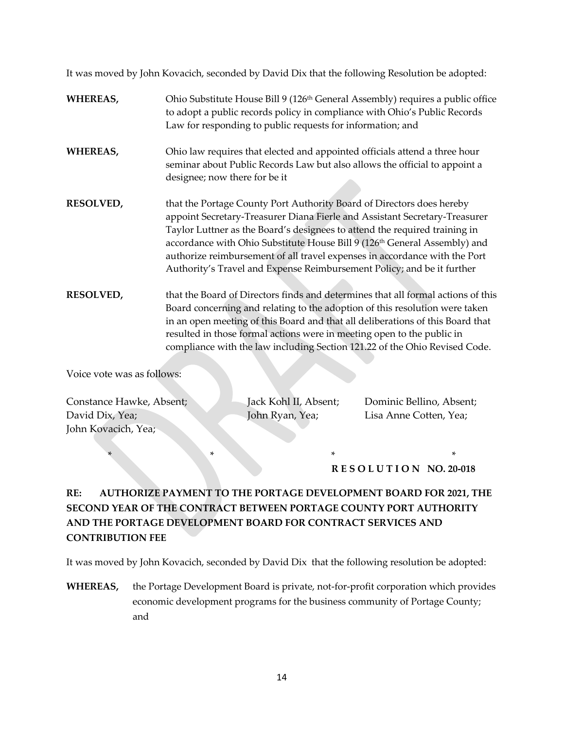It was moved by John Kovacich, seconded by David Dix that the following Resolution be adopted:

### WHEREAS, Ohio Substitute House Bill 9 (126<sup>th</sup> General Assembly) requires a public office to adopt a public records policy in compliance with Ohio's Public Records Law for responding to public requests for information; and

- **WHEREAS,** Ohio law requires that elected and appointed officials attend a three hour seminar about Public Records Law but also allows the official to appoint a designee; now there for be it
- **RESOLVED,** that the Portage County Port Authority Board of Directors does hereby appoint Secretary-Treasurer Diana Fierle and Assistant Secretary-Treasurer Taylor Luttner as the Board's designees to attend the required training in accordance with Ohio Substitute House Bill 9 (126<sup>th</sup> General Assembly) and authorize reimbursement of all travel expenses in accordance with the Port Authority's Travel and Expense Reimbursement Policy; and be it further
- **RESOLVED,** that the Board of Directors finds and determines that all formal actions of this Board concerning and relating to the adoption of this resolution were taken in an open meeting of this Board and that all deliberations of this Board that resulted in those formal actions were in meeting open to the public in compliance with the law including Section 121.22 of the Ohio Revised Code.

Voice vote was as follows:

Constance Hawke, Absent; Jack Kohl II, Absent; Dominic Bellino, Absent; David Dix, Yea; John Ryan, Yea; Lisa Anne Cotten, Yea; John Kovacich, Yea;

 $*$   $*$ **R E S O L U T I O N NO. 20-018**

# **RE: AUTHORIZE PAYMENT TO THE PORTAGE DEVELOPMENT BOARD FOR 2021, THE SECOND YEAR OF THE CONTRACT BETWEEN PORTAGE COUNTY PORT AUTHORITY AND THE PORTAGE DEVELOPMENT BOARD FOR CONTRACT SERVICES AND CONTRIBUTION FEE**

It was moved by John Kovacich, seconded by David Dix that the following resolution be adopted:

**WHEREAS,** the Portage Development Board is private, not-for-profit corporation which provides economic development programs for the business community of Portage County; and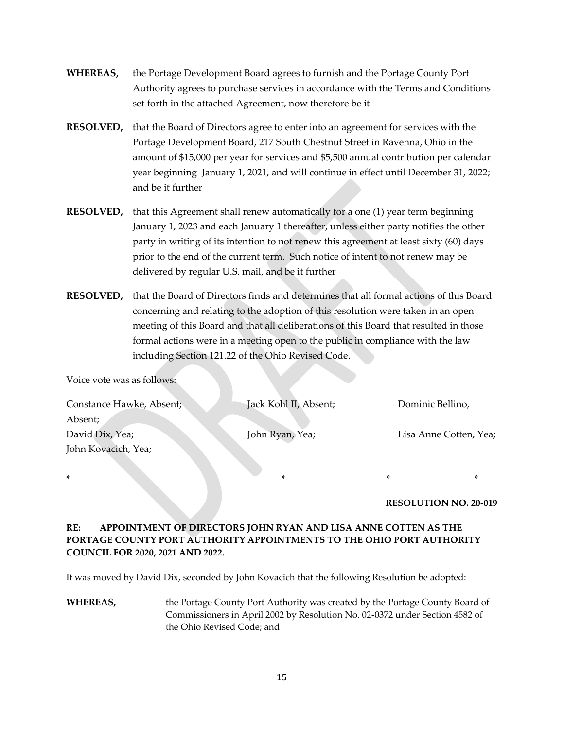- **WHEREAS,** the Portage Development Board agrees to furnish and the Portage County Port Authority agrees to purchase services in accordance with the Terms and Conditions set forth in the attached Agreement, now therefore be it
- **RESOLVED,** that the Board of Directors agree to enter into an agreement for services with the Portage Development Board, 217 South Chestnut Street in Ravenna, Ohio in the amount of \$15,000 per year for services and \$5,500 annual contribution per calendar year beginning January 1, 2021, and will continue in effect until December 31, 2022; and be it further
- **RESOLVED,** that this Agreement shall renew automatically for a one (1) year term beginning January 1, 2023 and each January 1 thereafter, unless either party notifies the other party in writing of its intention to not renew this agreement at least sixty (60) days prior to the end of the current term. Such notice of intent to not renew may be delivered by regular U.S. mail, and be it further
- **RESOLVED,** that the Board of Directors finds and determines that all formal actions of this Board concerning and relating to the adoption of this resolution were taken in an open meeting of this Board and that all deliberations of this Board that resulted in those formal actions were in a meeting open to the public in compliance with the law including Section 121.22 of the Ohio Revised Code.

Voice vote was as follows:

| Constance Hawke, Absent; | Jack Kohl II, Absent; | Dominic Bellino,       |
|--------------------------|-----------------------|------------------------|
| Absent;                  |                       |                        |
| David Dix, Yea;          | John Ryan, Yea;       | Lisa Anne Cotten, Yea; |
| John Kovacich, Yea;      |                       |                        |

\* \* \* \*

#### **RESOLUTION NO. 20-019**

### **RE: APPOINTMENT OF DIRECTORS JOHN RYAN AND LISA ANNE COTTEN AS THE PORTAGE COUNTY PORT AUTHORITY APPOINTMENTS TO THE OHIO PORT AUTHORITY COUNCIL FOR 2020, 2021 AND 2022.**

It was moved by David Dix, seconded by John Kovacich that the following Resolution be adopted:

**WHEREAS,** the Portage County Port Authority was created by the Portage County Board of Commissioners in April 2002 by Resolution No. 02-0372 under Section 4582 of the Ohio Revised Code; and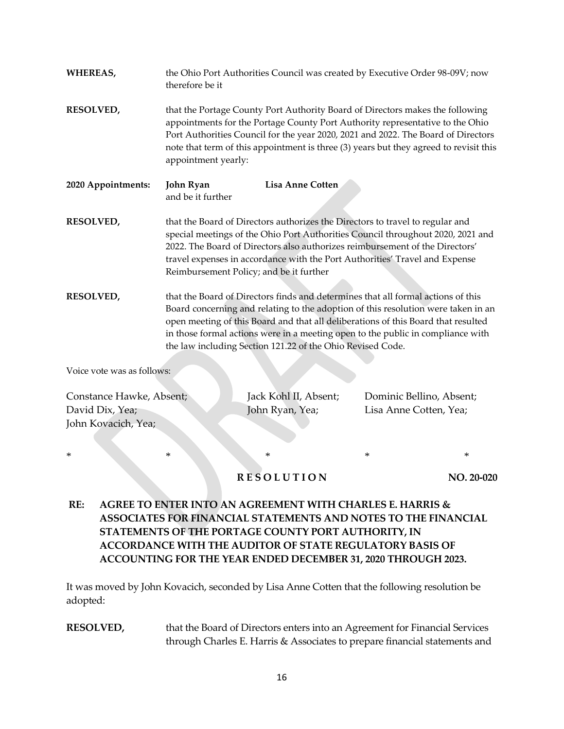| <b>WHEREAS,</b>                                                    | the Ohio Port Authorities Council was created by Executive Order 98-09V; now<br>therefore be it                                                                                                                                                                                                                                                                                                             |                                          |                                                    |  |  |  |
|--------------------------------------------------------------------|-------------------------------------------------------------------------------------------------------------------------------------------------------------------------------------------------------------------------------------------------------------------------------------------------------------------------------------------------------------------------------------------------------------|------------------------------------------|----------------------------------------------------|--|--|--|
| <b>RESOLVED,</b>                                                   | that the Portage County Port Authority Board of Directors makes the following<br>appointments for the Portage County Port Authority representative to the Ohio<br>Port Authorities Council for the year 2020, 2021 and 2022. The Board of Directors<br>note that term of this appointment is three (3) years but they agreed to revisit this<br>appointment yearly:                                         |                                          |                                                    |  |  |  |
| 2020 Appointments:                                                 | John Ryan<br>and be it further                                                                                                                                                                                                                                                                                                                                                                              | <b>Lisa Anne Cotten</b>                  |                                                    |  |  |  |
| <b>RESOLVED,</b>                                                   | that the Board of Directors authorizes the Directors to travel to regular and<br>special meetings of the Ohio Port Authorities Council throughout 2020, 2021 and<br>2022. The Board of Directors also authorizes reimbursement of the Directors'<br>travel expenses in accordance with the Port Authorities' Travel and Expense<br>Reimbursement Policy; and be it further                                  |                                          |                                                    |  |  |  |
| <b>RESOLVED,</b>                                                   | that the Board of Directors finds and determines that all formal actions of this<br>Board concerning and relating to the adoption of this resolution were taken in an<br>open meeting of this Board and that all deliberations of this Board that resulted<br>in those formal actions were in a meeting open to the public in compliance with<br>the law including Section 121.22 of the Ohio Revised Code. |                                          |                                                    |  |  |  |
| Voice vote was as follows:                                         |                                                                                                                                                                                                                                                                                                                                                                                                             |                                          |                                                    |  |  |  |
| Constance Hawke, Absent;<br>David Dix, Yea;<br>John Kovacich, Yea; |                                                                                                                                                                                                                                                                                                                                                                                                             | Jack Kohl II, Absent;<br>John Ryan, Yea; | Dominic Bellino, Absent;<br>Lisa Anne Cotten, Yea; |  |  |  |

### **R E S O L U T I O N** NO. 20-020

\* \* \* \* \*

# **RE: AGREE TO ENTER INTO AN AGREEMENT WITH CHARLES E. HARRIS & ASSOCIATES FOR FINANCIAL STATEMENTS AND NOTES TO THE FINANCIAL STATEMENTS OF THE PORTAGE COUNTY PORT AUTHORITY, IN ACCORDANCE WITH THE AUDITOR OF STATE REGULATORY BASIS OF ACCOUNTING FOR THE YEAR ENDED DECEMBER 31, 2020 THROUGH 2023.**

It was moved by John Kovacich, seconded by Lisa Anne Cotten that the following resolution be adopted:

**RESOLVED,** that the Board of Directors enters into an Agreement for Financial Services through Charles E. Harris & Associates to prepare financial statements and